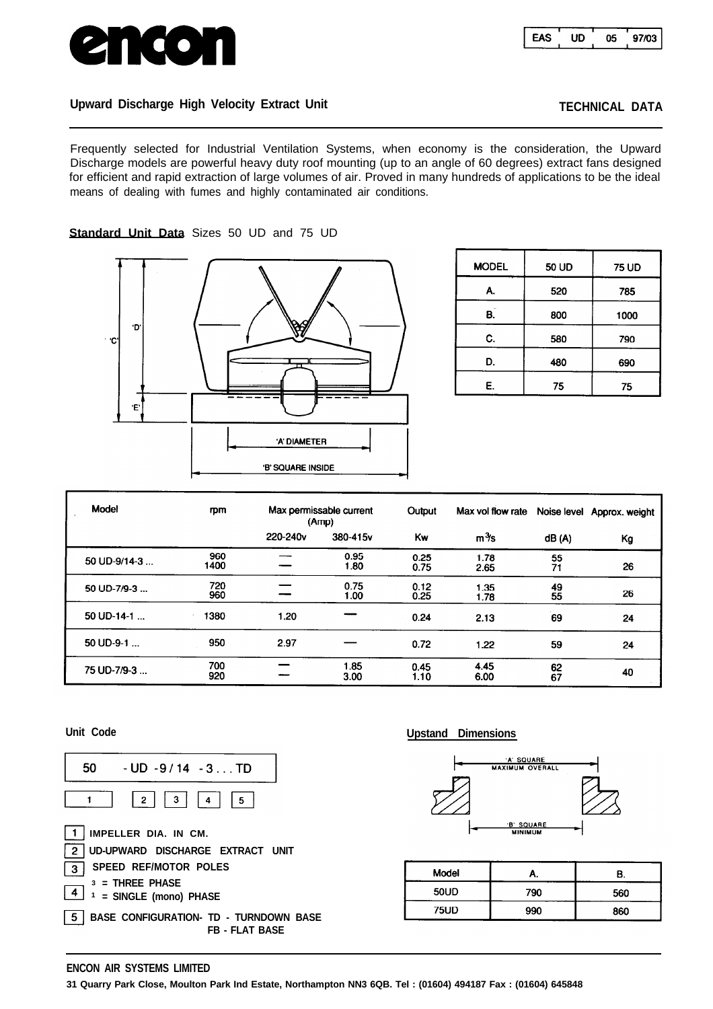

# Upward Discharge High Velocity Extract Unit **TECHNICAL DATA**

**Standard Unit Data** Sizes 50 UD and 75 UD

Frequently selected for Industrial Ventilation Systems, when economy is the consideration, the Upward Discharge models are powerful heavy duty roof mounting (up to an angle of 60 degrees) extract fans designed for efficient and rapid extraction of large volumes of air. Proved in many hundreds of applications to be the ideal means of dealing with fumes and highly contaminated air conditions.



| <b>MODEL</b> | 50 UD | <b>75 UD</b> |  |  |
|--------------|-------|--------------|--|--|
| А.           | 520   | 785          |  |  |
| В.           | 800   | 1000         |  |  |
| C.           | 580   | 790          |  |  |
| D.           | 480   | 690          |  |  |
| Е.           | 75    | 75           |  |  |

| Model              | m           |          | Max permissable current<br>(Amp) | Output       | Max vol flow rate |          | Noise level Approx. weight |
|--------------------|-------------|----------|----------------------------------|--------------|-------------------|----------|----------------------------|
|                    |             | 220-240v | 380-415v                         | Kw           | $m\frac{3}{5}$ s  | dB(A)    | Кg                         |
| 50 UD-9/14-3       | 960<br>1400 |          | 0.95<br>1.80                     | 0.25<br>0.75 | 1.78<br>2.65      | 55<br>71 | 26                         |
| 50 UD-7/9-3        | 720<br>960  |          | 0.75<br>1.00                     | 0.12<br>0.25 | 1.35<br>1.78      | 49<br>55 | 26                         |
| 50 UD-14-1 $\dots$ | 1380        | 1.20     |                                  | 0.24         | 2.13              | 69       | 24                         |
| 50 UD-9-1          | 950         | 2.97     |                                  | 0.72         | 1.22              | 59       | 24                         |
| 75 UD-7/9-3        | 700<br>920  |          | 1.85<br>3.00                     | 0.45<br>1.10 | 4.45<br>6.00      | 62<br>67 | 40                         |



# **Unit Code Upstand Dimensions**



| Model       | л.  | В.  |
|-------------|-----|-----|
| 50UD        | 790 | 560 |
| <b>75UD</b> | 990 | 860 |

## **ENCON AIR SYSTEMS LIMITED**

**31 Quarry Park Close, Moulton Park Ind Estate, Northampton NN3 6QB. Tel : (01604) 494187 Fax : (01604) 645848**